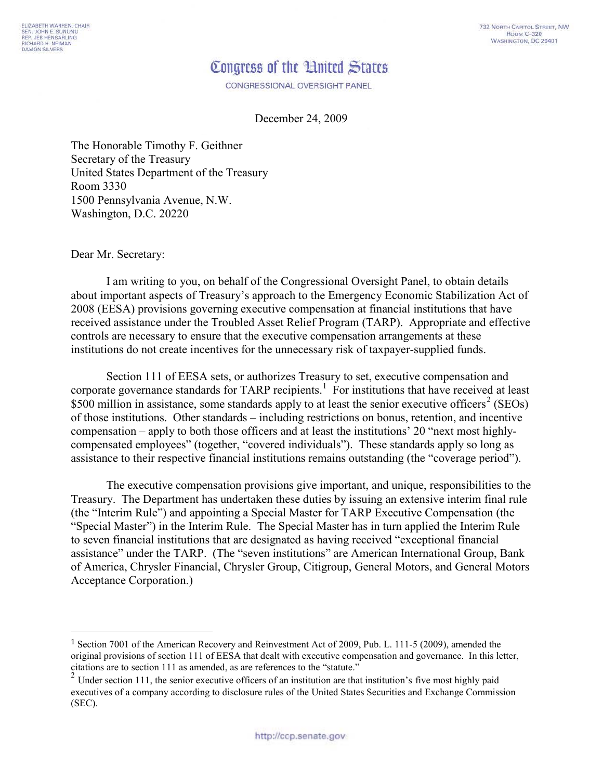## Congress of the United States

CONGRESSIONAL OVERSIGHT PANEL

## December 24, 2009

The Honorable Timothy F. Geithner Secretary of the Treasury United States Department of the Treasury Room 3330 1500 Pennsylvania Avenue, N.W. Washington, D.C. 20220

Dear Mr. Secretary:

I

I am writing to you, on behalf of the Congressional Oversight Panel, to obtain details about important aspects of Treasury's approach to the Emergency Economic Stabilization Act of 2008 (EESA) provisions governing executive compensation at financial institutions that have received assistance under the Troubled Asset Relief Program (TARP). Appropriate and effective controls are necessary to ensure that the executive compensation arrangements at these institutions do not create incentives for the unnecessary risk of taxpayer-supplied funds.

 Section 111 of EESA sets, or authorizes Treasury to set, executive compensation and corporate governance standards for TARP recipients.<sup>[1](#page-0-0)</sup> For institutions that have received at least \$500 million in assistance, some standards apply to at least the senior executive officers<sup>[2](#page-0-1)</sup> (SEOs) of those institutions. Other standards – including restrictions on bonus, retention, and incentive compensation – apply to both those officers and at least the institutions' 20 "next most highlycompensated employees" (together, "covered individuals"). These standards apply so long as assistance to their respective financial institutions remains outstanding (the "coverage period").

 The executive compensation provisions give important, and unique, responsibilities to the Treasury. The Department has undertaken these duties by issuing an extensive interim final rule (the "Interim Rule") and appointing a Special Master for TARP Executive Compensation (the "Special Master") in the Interim Rule. The Special Master has in turn applied the Interim Rule to seven financial institutions that are designated as having received "exceptional financial assistance" under the TARP. (The "seven institutions" are American International Group, Bank of America, Chrysler Financial, Chrysler Group, Citigroup, General Motors, and General Motors Acceptance Corporation.)

<span id="page-0-0"></span><sup>1</sup> Section 7001 of the American Recovery and Reinvestment Act of 2009, Pub. L. 111-5 (2009), amended the original provisions of section 111 of EESA that dealt with executive compensation and governance. In this letter, citations are to section 111 as amended, as are references to the "statute."

<span id="page-0-1"></span><sup>&</sup>lt;sup>2</sup> Under section 111, the senior executive officers of an institution are that institution's five most highly paid executives of a company according to disclosure rules of the United States Securities and Exchange Commission (SEC).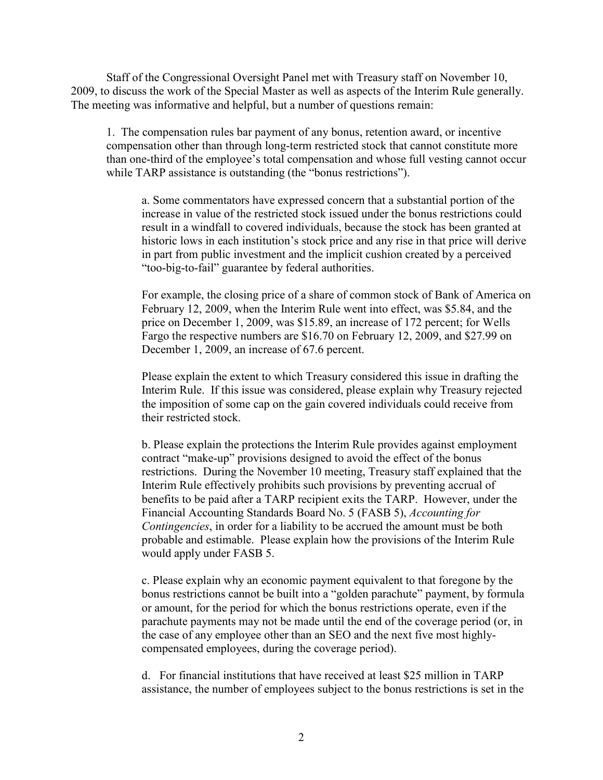Staff of the Congressional Oversight Panel met with Treasury staff on November 10, 2009, to discuss the work of the Special Master as well as aspects of the Interim Rule generally. The meeting was informative and helpful, but a number of questions remain:

1. The compensation rules bar payment of any bonus, retention award, or incentive compensation other than through long-term restricted stock that cannot constitute more than one-third of the employee's total compensation and whose full vesting cannot occur while TARP assistance is outstanding (the "bonus restrictions").

a. Some commentators have expressed concern that a substantial portion of the increase in value of the restricted stock issued under the bonus restrictions could result in a windfall to covered individuals, because the stock has been granted at historic lows in each institution's stock price and any rise in that price will derive in part from public investment and the implicit cushion created by a perceived "too-big-to-fail" guarantee by federal authorities.

For example, the closing price of a share of common stock of Bank of America on February 12, 2009, when the Interim Rule went into effect, was \$5.84, and the price on December 1, 2009, was \$15.89, an increase of 172 percent; for Wells Fargo the respective numbers are \$16.70 on February 12, 2009, and \$27.99 on December 1, 2009, an increase of 67.6 percent.

Please explain the extent to which Treasury considered this issue in drafting the Interim Rule. If this issue was considered, please explain why Treasury rejected the imposition of some cap on the gain covered individuals could receive from their restricted stock.

b. Please explain the protections the Interim Rule provides against employment contract "make-up" provisions designed to avoid the effect of the bonus restrictions. During the November 10 meeting, Treasury staff explained that the Interim Rule effectively prohibits such provisions by preventing accrual of benefits to be paid after a TARP recipient exits the TARP. However, under the Financial Accounting Standards Board No. 5 (FASB 5), *Accounting for Contingencies*, in order for a liability to be accrued the amount must be both probable and estimable. Please explain how the provisions of the Interim Rule would apply under FASB 5.

c. Please explain why an economic payment equivalent to that foregone by the bonus restrictions cannot be built into a "golden parachute" payment, by formula or amount, for the period for which the bonus restrictions operate, even if the parachute payments may not be made until the end of the coverage period (or, in the case of any employee other than an SEO and the next five most highlycompensated employees, during the coverage period).

d. For financial institutions that have received at least \$25 million in TARP assistance, the number of employees subject to the bonus restrictions is set in the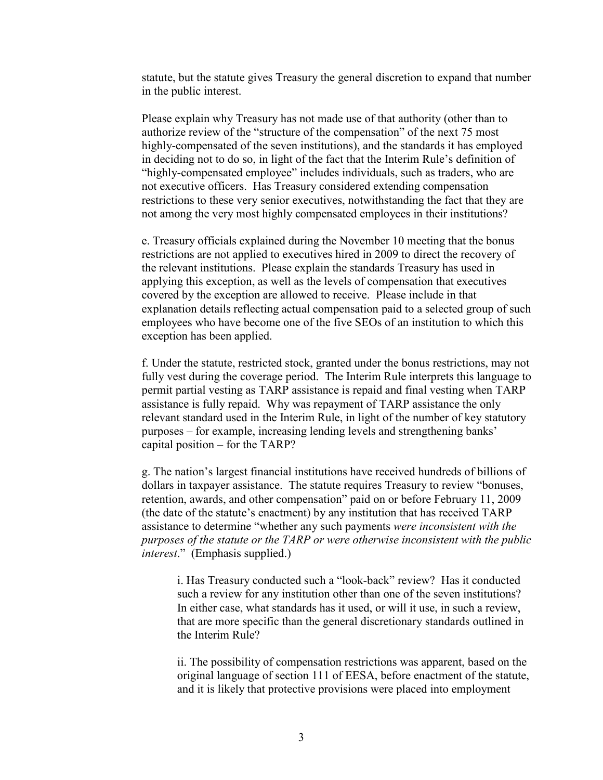statute, but the statute gives Treasury the general discretion to expand that number in the public interest.

Please explain why Treasury has not made use of that authority (other than to authorize review of the "structure of the compensation" of the next 75 most highly-compensated of the seven institutions), and the standards it has employed in deciding not to do so, in light of the fact that the Interim Rule's definition of "highly-compensated employee" includes individuals, such as traders, who are not executive officers. Has Treasury considered extending compensation restrictions to these very senior executives, notwithstanding the fact that they are not among the very most highly compensated employees in their institutions?

e. Treasury officials explained during the November 10 meeting that the bonus restrictions are not applied to executives hired in 2009 to direct the recovery of the relevant institutions. Please explain the standards Treasury has used in applying this exception, as well as the levels of compensation that executives covered by the exception are allowed to receive. Please include in that explanation details reflecting actual compensation paid to a selected group of such employees who have become one of the five SEOs of an institution to which this exception has been applied.

f. Under the statute, restricted stock, granted under the bonus restrictions, may not fully vest during the coverage period. The Interim Rule interprets this language to permit partial vesting as TARP assistance is repaid and final vesting when TARP assistance is fully repaid. Why was repayment of TARP assistance the only relevant standard used in the Interim Rule, in light of the number of key statutory purposes – for example, increasing lending levels and strengthening banks' capital position – for the TARP?

g. The nation's largest financial institutions have received hundreds of billions of dollars in taxpayer assistance. The statute requires Treasury to review "bonuses, retention, awards, and other compensation" paid on or before February 11, 2009 (the date of the statute's enactment) by any institution that has received TARP assistance to determine "whether any such payments *were inconsistent with the purposes of the statute or the TARP or were otherwise inconsistent with the public interest*." (Emphasis supplied.)

i. Has Treasury conducted such a "look-back" review? Has it conducted such a review for any institution other than one of the seven institutions? In either case, what standards has it used, or will it use, in such a review, that are more specific than the general discretionary standards outlined in the Interim Rule?

ii. The possibility of compensation restrictions was apparent, based on the original language of section 111 of EESA, before enactment of the statute, and it is likely that protective provisions were placed into employment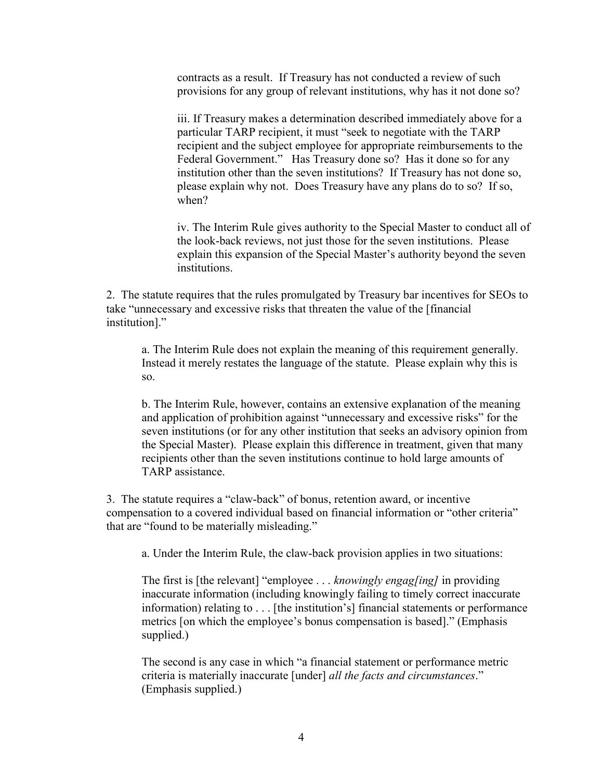contracts as a result. If Treasury has not conducted a review of such provisions for any group of relevant institutions, why has it not done so?

iii. If Treasury makes a determination described immediately above for a particular TARP recipient, it must "seek to negotiate with the TARP recipient and the subject employee for appropriate reimbursements to the Federal Government." Has Treasury done so? Has it done so for any institution other than the seven institutions? If Treasury has not done so, please explain why not. Does Treasury have any plans do to so? If so, when?

iv. The Interim Rule gives authority to the Special Master to conduct all of the look-back reviews, not just those for the seven institutions. Please explain this expansion of the Special Master's authority beyond the seven institutions.

2. The statute requires that the rules promulgated by Treasury bar incentives for SEOs to take "unnecessary and excessive risks that threaten the value of the [financial institution]."

a. The Interim Rule does not explain the meaning of this requirement generally. Instead it merely restates the language of the statute. Please explain why this is so.

b. The Interim Rule, however, contains an extensive explanation of the meaning and application of prohibition against "unnecessary and excessive risks" for the seven institutions (or for any other institution that seeks an advisory opinion from the Special Master). Please explain this difference in treatment, given that many recipients other than the seven institutions continue to hold large amounts of TARP assistance.

3. The statute requires a "claw-back" of bonus, retention award, or incentive compensation to a covered individual based on financial information or "other criteria" that are "found to be materially misleading."

a. Under the Interim Rule, the claw-back provision applies in two situations:

The first is [the relevant] "employee . . . *knowingly engag[ing]* in providing inaccurate information (including knowingly failing to timely correct inaccurate information) relating to . . . [the institution's] financial statements or performance metrics [on which the employee's bonus compensation is based]." (Emphasis supplied.)

The second is any case in which "a financial statement or performance metric criteria is materially inaccurate [under] *all the facts and circumstances*." (Emphasis supplied.)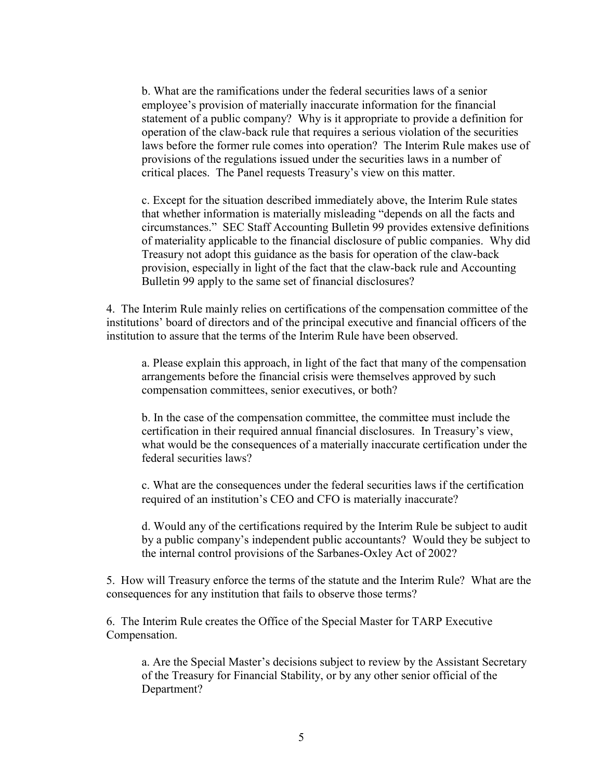b. What are the ramifications under the federal securities laws of a senior employee's provision of materially inaccurate information for the financial statement of a public company? Why is it appropriate to provide a definition for operation of the claw-back rule that requires a serious violation of the securities laws before the former rule comes into operation? The Interim Rule makes use of provisions of the regulations issued under the securities laws in a number of critical places. The Panel requests Treasury's view on this matter.

c. Except for the situation described immediately above, the Interim Rule states that whether information is materially misleading "depends on all the facts and circumstances." SEC Staff Accounting Bulletin 99 provides extensive definitions of materiality applicable to the financial disclosure of public companies. Why did Treasury not adopt this guidance as the basis for operation of the claw-back provision, especially in light of the fact that the claw-back rule and Accounting Bulletin 99 apply to the same set of financial disclosures?

4. The Interim Rule mainly relies on certifications of the compensation committee of the institutions' board of directors and of the principal executive and financial officers of the institution to assure that the terms of the Interim Rule have been observed.

a. Please explain this approach, in light of the fact that many of the compensation arrangements before the financial crisis were themselves approved by such compensation committees, senior executives, or both?

b. In the case of the compensation committee, the committee must include the certification in their required annual financial disclosures. In Treasury's view, what would be the consequences of a materially inaccurate certification under the federal securities laws?

c. What are the consequences under the federal securities laws if the certification required of an institution's CEO and CFO is materially inaccurate?

d. Would any of the certifications required by the Interim Rule be subject to audit by a public company's independent public accountants? Would they be subject to the internal control provisions of the Sarbanes-Oxley Act of 2002?

5. How will Treasury enforce the terms of the statute and the Interim Rule? What are the consequences for any institution that fails to observe those terms?

6. The Interim Rule creates the Office of the Special Master for TARP Executive Compensation.

a. Are the Special Master's decisions subject to review by the Assistant Secretary of the Treasury for Financial Stability, or by any other senior official of the Department?